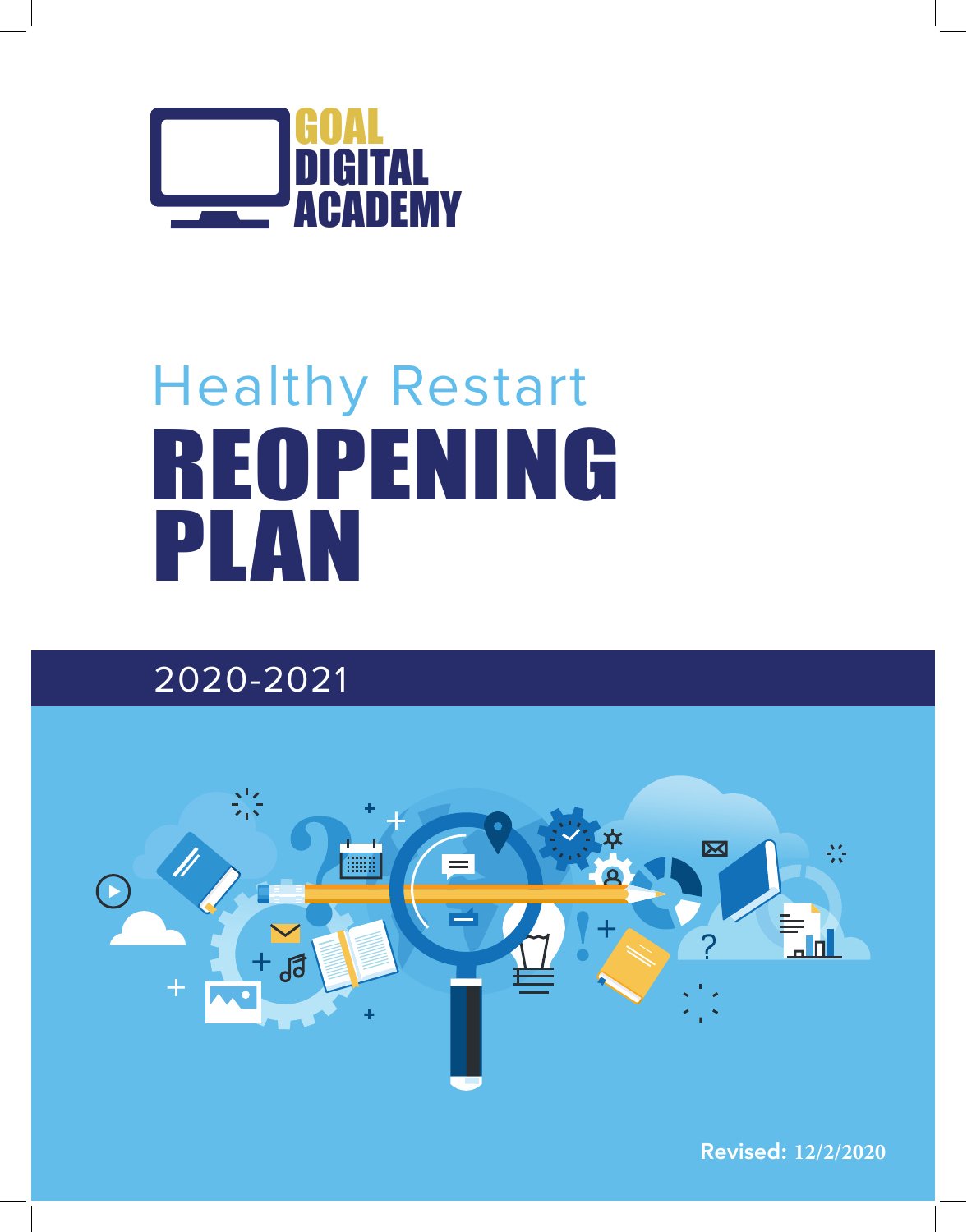

### REOPENING PLAN Healthy Restart

#### 2020-2021



Revised: **12/2/2020**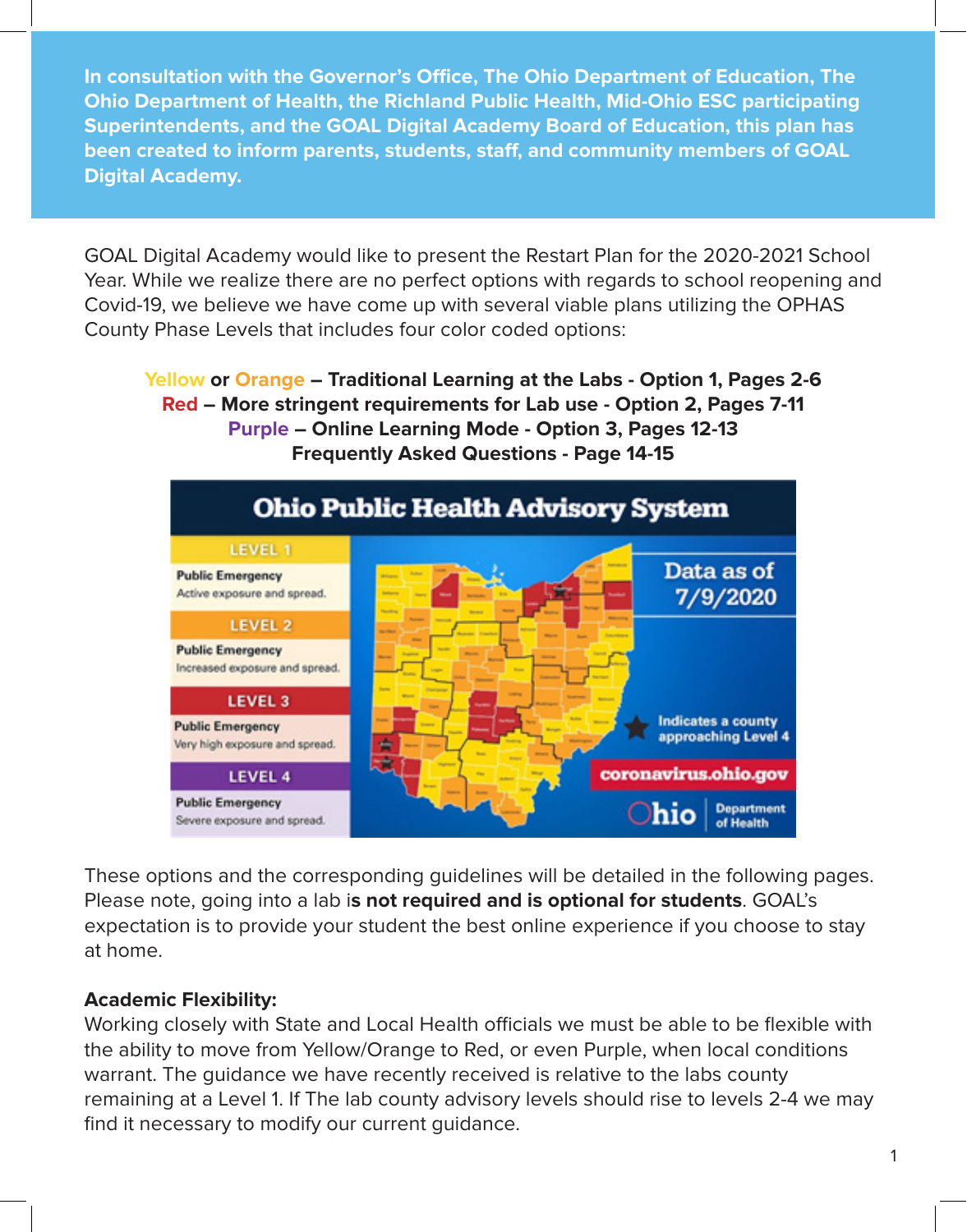**In consultation with the Governor's Office, The Ohio Department of Education, The Ohio Department of Health, the Richland Public Health, Mid-Ohio ESC participating Superintendents, and the GOAL Digital Academy Board of Education, this plan has been created to inform parents, students, staff, and community members of GOAL Digital Academy.**

GOAL Digital Academy would like to present the Restart Plan for the 2020-2021 School Year. While we realize there are no perfect options with regards to school reopening and Covid-19, we believe we have come up with several viable plans utilizing the OPHAS County Phase Levels that includes four color coded options:

**Yellow or Orange – Traditional Learning at the Labs - Option 1, Pages 2-6 Red – More stringent requirements for Lab use - Option 2, Pages 7-11 Purple – Online Learning Mode - Option 3, Pages 12-13 Frequently Asked Questions - Page 14-15**



These options and the corresponding guidelines will be detailed in the following pages. Please note, going into a lab i**s not required and is optional for students**. GOAL's expectation is to provide your student the best online experience if you choose to stay at home.

#### **Academic Flexibility:**

Working closely with State and Local Health officials we must be able to be flexible with the ability to move from Yellow/Orange to Red, or even Purple, when local conditions warrant. The guidance we have recently received is relative to the labs county remaining at a Level 1. If The lab county advisory levels should rise to levels 2-4 we may find it necessary to modify our current guidance.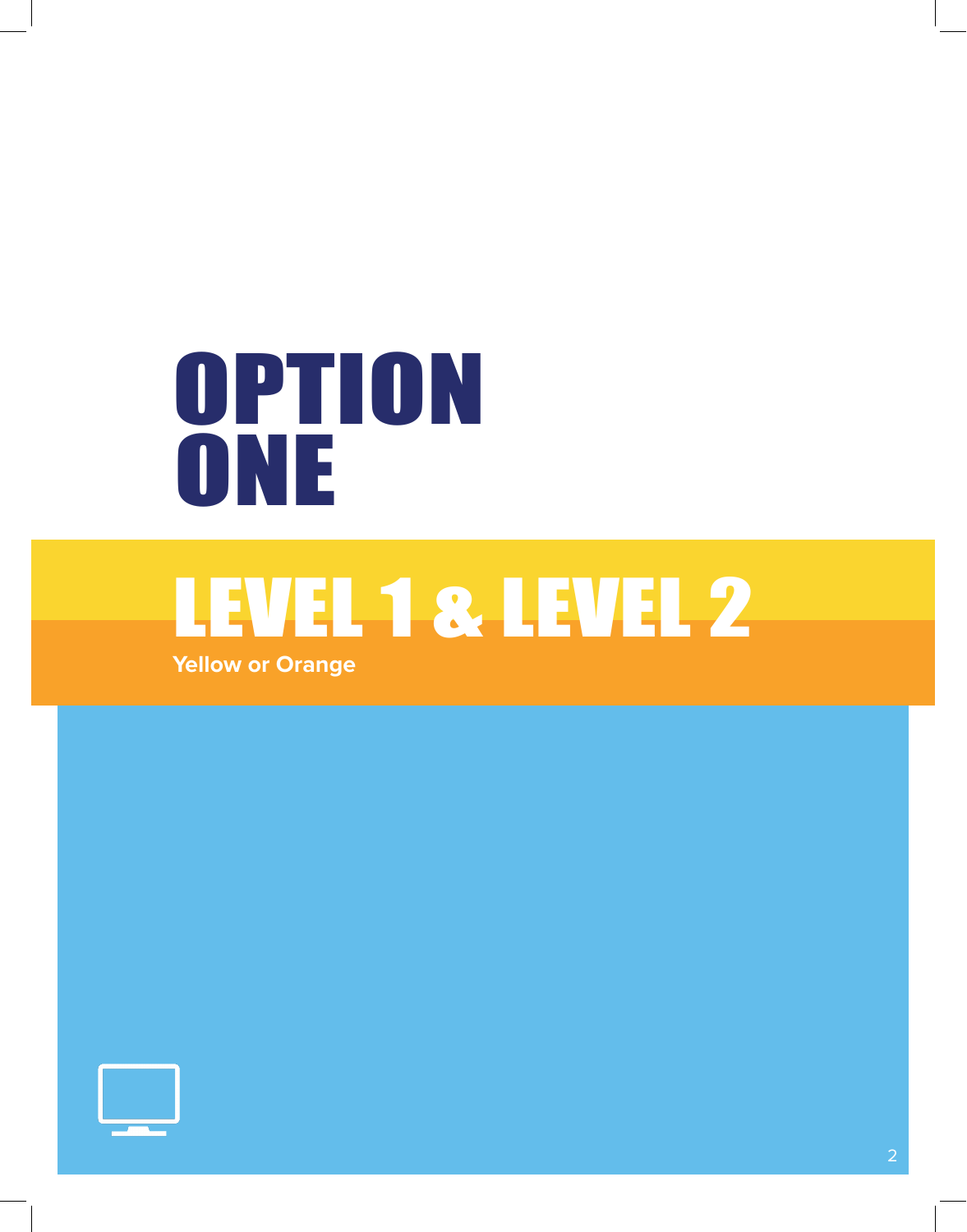## OPTION ONE

# LEVEL 1 & LEVEL 2

**Yellow or Orange**

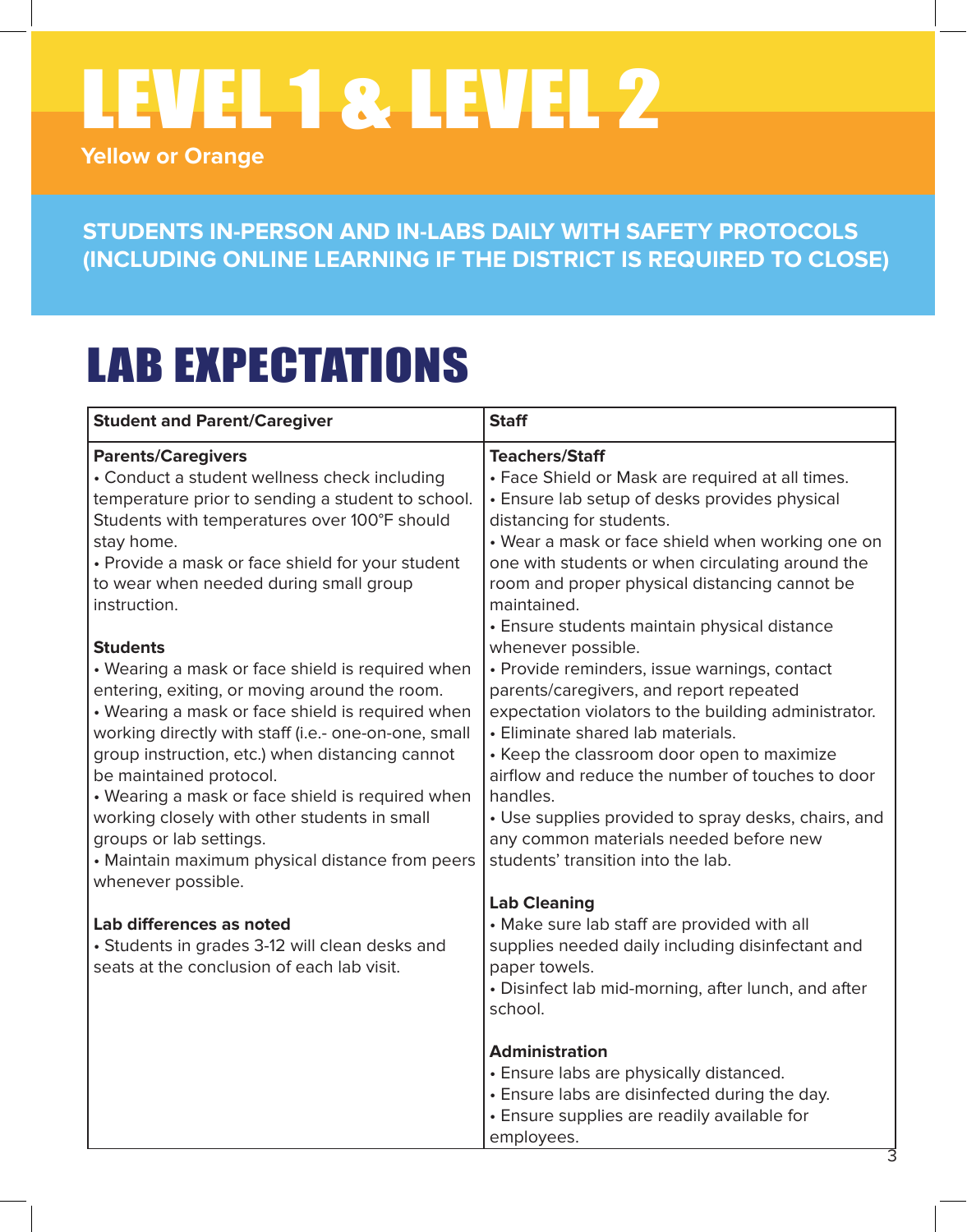**Yellow or Orange**

#### **STUDENTS IN-PERSON AND IN-LABS DAILY WITH SAFETY PROTOCOLS (INCLUDING ONLINE LEARNING IF THE DISTRICT IS REQUIRED TO CLOSE)**

### LAB EXPECTATIONS

| <b>Student and Parent/Caregiver</b>                                                                                                                                                                                                                                                                                                                                                                                                                                                                                    | <b>Staff</b>                                                                                                                                                                                                                                                                                                                                                                                                                                                    |
|------------------------------------------------------------------------------------------------------------------------------------------------------------------------------------------------------------------------------------------------------------------------------------------------------------------------------------------------------------------------------------------------------------------------------------------------------------------------------------------------------------------------|-----------------------------------------------------------------------------------------------------------------------------------------------------------------------------------------------------------------------------------------------------------------------------------------------------------------------------------------------------------------------------------------------------------------------------------------------------------------|
| <b>Parents/Caregivers</b><br>• Conduct a student wellness check including<br>temperature prior to sending a student to school.<br>Students with temperatures over 100°F should<br>stay home.<br>• Provide a mask or face shield for your student<br>to wear when needed during small group<br>instruction.                                                                                                                                                                                                             | <b>Teachers/Staff</b><br>• Face Shield or Mask are required at all times.<br>• Ensure lab setup of desks provides physical<br>distancing for students.<br>• Wear a mask or face shield when working one on<br>one with students or when circulating around the<br>room and proper physical distancing cannot be<br>maintained.<br>• Ensure students maintain physical distance                                                                                  |
| <b>Students</b><br>• Wearing a mask or face shield is required when<br>entering, exiting, or moving around the room.<br>• Wearing a mask or face shield is required when<br>working directly with staff (i.e.- one-on-one, small<br>group instruction, etc.) when distancing cannot<br>be maintained protocol.<br>• Wearing a mask or face shield is required when<br>working closely with other students in small<br>groups or lab settings.<br>• Maintain maximum physical distance from peers<br>whenever possible. | whenever possible.<br>· Provide reminders, issue warnings, contact<br>parents/caregivers, and report repeated<br>expectation violators to the building administrator.<br>• Eliminate shared lab materials.<br>• Keep the classroom door open to maximize<br>airflow and reduce the number of touches to door<br>handles.<br>• Use supplies provided to spray desks, chairs, and<br>any common materials needed before new<br>students' transition into the lab. |
| Lab differences as noted<br>· Students in grades 3-12 will clean desks and<br>seats at the conclusion of each lab visit.                                                                                                                                                                                                                                                                                                                                                                                               | <b>Lab Cleaning</b><br>• Make sure lab staff are provided with all<br>supplies needed daily including disinfectant and<br>paper towels.<br>• Disinfect lab mid-morning, after lunch, and after<br>school.                                                                                                                                                                                                                                                       |
|                                                                                                                                                                                                                                                                                                                                                                                                                                                                                                                        | <b>Administration</b><br>• Ensure labs are physically distanced.<br>• Ensure labs are disinfected during the day.<br>• Ensure supplies are readily available for<br>employees.                                                                                                                                                                                                                                                                                  |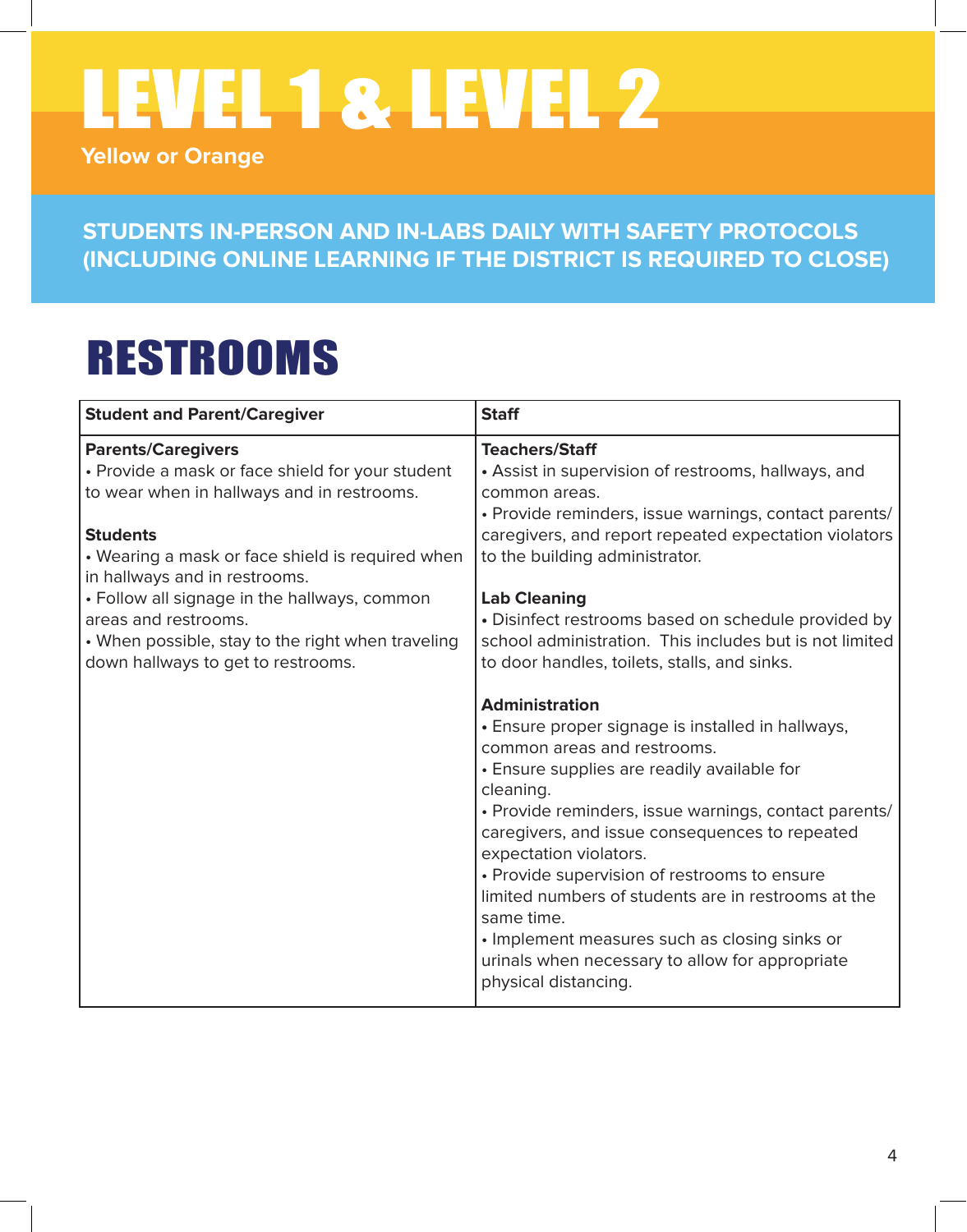**Yellow or Orange**

#### **STUDENTS IN-PERSON AND IN-LABS DAILY WITH SAFETY PROTOCOLS (INCLUDING ONLINE LEARNING IF THE DISTRICT IS REQUIRED TO CLOSE)**

### RESTROOMS

| <b>Student and Parent/Caregiver</b>                                           | <b>Staff</b>                                                             |
|-------------------------------------------------------------------------------|--------------------------------------------------------------------------|
| <b>Parents/Caregivers</b>                                                     | <b>Teachers/Staff</b>                                                    |
| • Provide a mask or face shield for your student                              | • Assist in supervision of restrooms, hallways, and                      |
| to wear when in hallways and in restrooms.                                    | common areas.                                                            |
|                                                                               | · Provide reminders, issue warnings, contact parents/                    |
| <b>Students</b>                                                               | caregivers, and report repeated expectation violators                    |
| • Wearing a mask or face shield is required when                              | to the building administrator.                                           |
| in hallways and in restrooms.<br>• Follow all signage in the hallways, common | <b>Lab Cleaning</b>                                                      |
| areas and restrooms.                                                          | • Disinfect restrooms based on schedule provided by                      |
| • When possible, stay to the right when traveling                             | school administration. This includes but is not limited                  |
| down hallways to get to restrooms.                                            | to door handles, toilets, stalls, and sinks.                             |
|                                                                               |                                                                          |
|                                                                               | <b>Administration</b>                                                    |
|                                                                               | • Ensure proper signage is installed in hallways,                        |
|                                                                               | common areas and restrooms.                                              |
|                                                                               | • Ensure supplies are readily available for                              |
|                                                                               | cleaning.                                                                |
|                                                                               | • Provide reminders, issue warnings, contact parents/                    |
|                                                                               | caregivers, and issue consequences to repeated<br>expectation violators. |
|                                                                               | • Provide supervision of restrooms to ensure                             |
|                                                                               | limited numbers of students are in restrooms at the                      |
|                                                                               | same time.                                                               |
|                                                                               | • Implement measures such as closing sinks or                            |
|                                                                               | urinals when necessary to allow for appropriate                          |
|                                                                               | physical distancing.                                                     |
|                                                                               |                                                                          |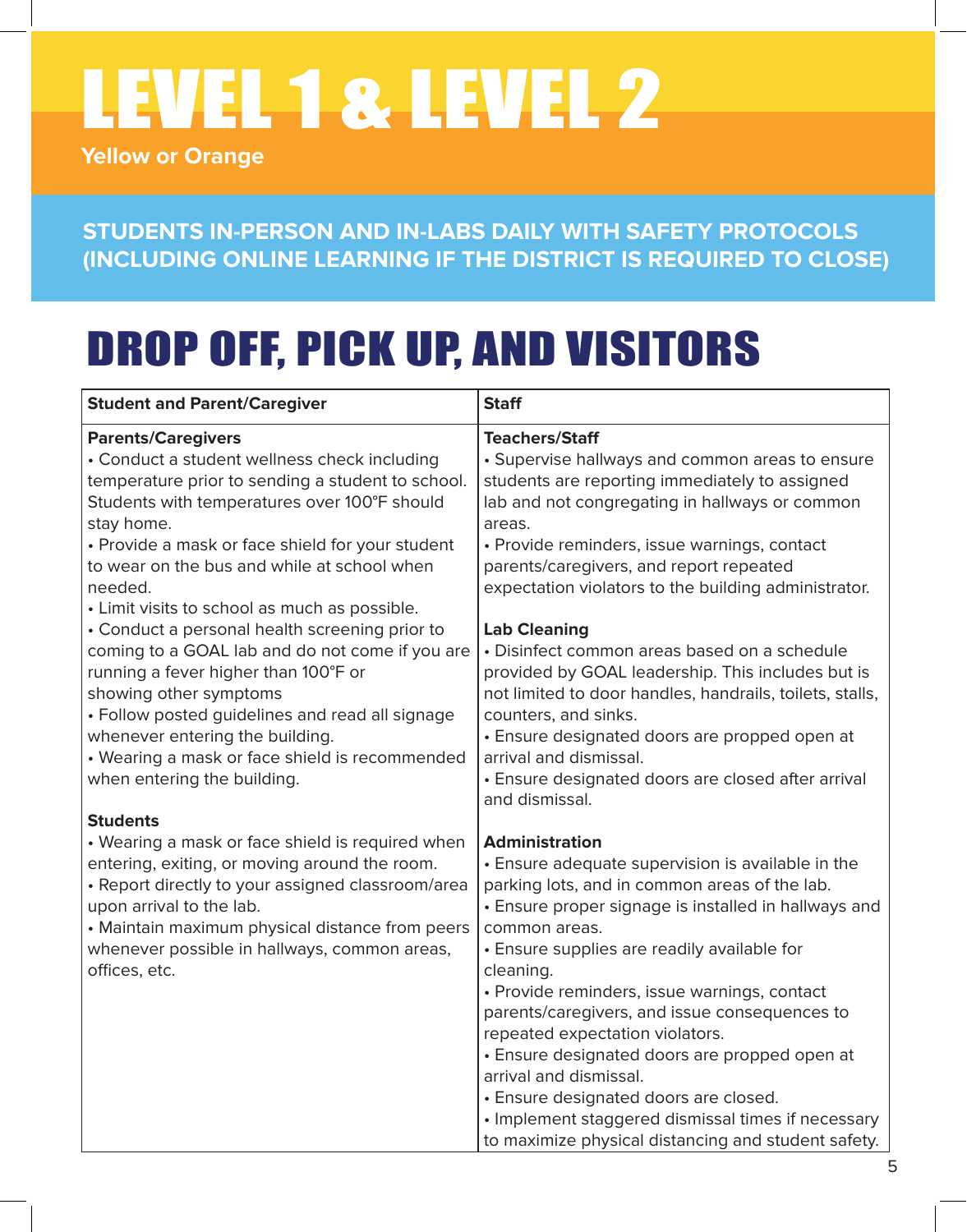**Yellow or Orange**

#### **STUDENTS IN-PERSON AND IN-LABS DAILY WITH SAFETY PROTOCOLS (INCLUDING ONLINE LEARNING IF THE DISTRICT IS REQUIRED TO CLOSE)**

### DROP OFF, PICK UP, AND VISITORS

| <b>Student and Parent/Caregiver</b>                                                                                                                                                                                                                                                                                       | <b>Staff</b>                                                                                                                                                                                                                                                                                                                                                                                                                                                                                                                                                                                                                          |
|---------------------------------------------------------------------------------------------------------------------------------------------------------------------------------------------------------------------------------------------------------------------------------------------------------------------------|---------------------------------------------------------------------------------------------------------------------------------------------------------------------------------------------------------------------------------------------------------------------------------------------------------------------------------------------------------------------------------------------------------------------------------------------------------------------------------------------------------------------------------------------------------------------------------------------------------------------------------------|
| <b>Parents/Caregivers</b>                                                                                                                                                                                                                                                                                                 | <b>Teachers/Staff</b>                                                                                                                                                                                                                                                                                                                                                                                                                                                                                                                                                                                                                 |
| • Conduct a student wellness check including                                                                                                                                                                                                                                                                              | • Supervise hallways and common areas to ensure                                                                                                                                                                                                                                                                                                                                                                                                                                                                                                                                                                                       |
| temperature prior to sending a student to school.                                                                                                                                                                                                                                                                         | students are reporting immediately to assigned                                                                                                                                                                                                                                                                                                                                                                                                                                                                                                                                                                                        |
| Students with temperatures over 100°F should                                                                                                                                                                                                                                                                              | lab and not congregating in hallways or common                                                                                                                                                                                                                                                                                                                                                                                                                                                                                                                                                                                        |
| stay home.                                                                                                                                                                                                                                                                                                                | areas.                                                                                                                                                                                                                                                                                                                                                                                                                                                                                                                                                                                                                                |
| • Provide a mask or face shield for your student                                                                                                                                                                                                                                                                          | • Provide reminders, issue warnings, contact                                                                                                                                                                                                                                                                                                                                                                                                                                                                                                                                                                                          |
| to wear on the bus and while at school when                                                                                                                                                                                                                                                                               | parents/caregivers, and report repeated                                                                                                                                                                                                                                                                                                                                                                                                                                                                                                                                                                                               |
| needed.                                                                                                                                                                                                                                                                                                                   | expectation violators to the building administrator.                                                                                                                                                                                                                                                                                                                                                                                                                                                                                                                                                                                  |
| • Limit visits to school as much as possible.                                                                                                                                                                                                                                                                             | <b>Lab Cleaning</b>                                                                                                                                                                                                                                                                                                                                                                                                                                                                                                                                                                                                                   |
| • Conduct a personal health screening prior to                                                                                                                                                                                                                                                                            | • Disinfect common areas based on a schedule                                                                                                                                                                                                                                                                                                                                                                                                                                                                                                                                                                                          |
| coming to a GOAL lab and do not come if you are                                                                                                                                                                                                                                                                           | provided by GOAL leadership. This includes but is                                                                                                                                                                                                                                                                                                                                                                                                                                                                                                                                                                                     |
| running a fever higher than 100°F or                                                                                                                                                                                                                                                                                      | not limited to door handles, handrails, toilets, stalls,                                                                                                                                                                                                                                                                                                                                                                                                                                                                                                                                                                              |
| showing other symptoms                                                                                                                                                                                                                                                                                                    | counters, and sinks.                                                                                                                                                                                                                                                                                                                                                                                                                                                                                                                                                                                                                  |
| • Follow posted guidelines and read all signage                                                                                                                                                                                                                                                                           | • Ensure designated doors are propped open at                                                                                                                                                                                                                                                                                                                                                                                                                                                                                                                                                                                         |
| whenever entering the building.                                                                                                                                                                                                                                                                                           | arrival and dismissal.                                                                                                                                                                                                                                                                                                                                                                                                                                                                                                                                                                                                                |
| • Wearing a mask or face shield is recommended                                                                                                                                                                                                                                                                            | • Ensure designated doors are closed after arrival                                                                                                                                                                                                                                                                                                                                                                                                                                                                                                                                                                                    |
| when entering the building.                                                                                                                                                                                                                                                                                               | and dismissal.                                                                                                                                                                                                                                                                                                                                                                                                                                                                                                                                                                                                                        |
| <b>Students</b><br>• Wearing a mask or face shield is required when<br>entering, exiting, or moving around the room.<br>• Report directly to your assigned classroom/area<br>upon arrival to the lab.<br>• Maintain maximum physical distance from peers<br>whenever possible in hallways, common areas,<br>offices, etc. | <b>Administration</b><br>• Ensure adequate supervision is available in the<br>parking lots, and in common areas of the lab.<br>• Ensure proper signage is installed in hallways and<br>common areas.<br>• Ensure supplies are readily available for<br>cleaning.<br>· Provide reminders, issue warnings, contact<br>parents/caregivers, and issue consequences to<br>repeated expectation violators.<br>• Ensure designated doors are propped open at<br>arrival and dismissal.<br>· Ensure designated doors are closed.<br>· Implement staggered dismissal times if necessary<br>to maximize physical distancing and student safety. |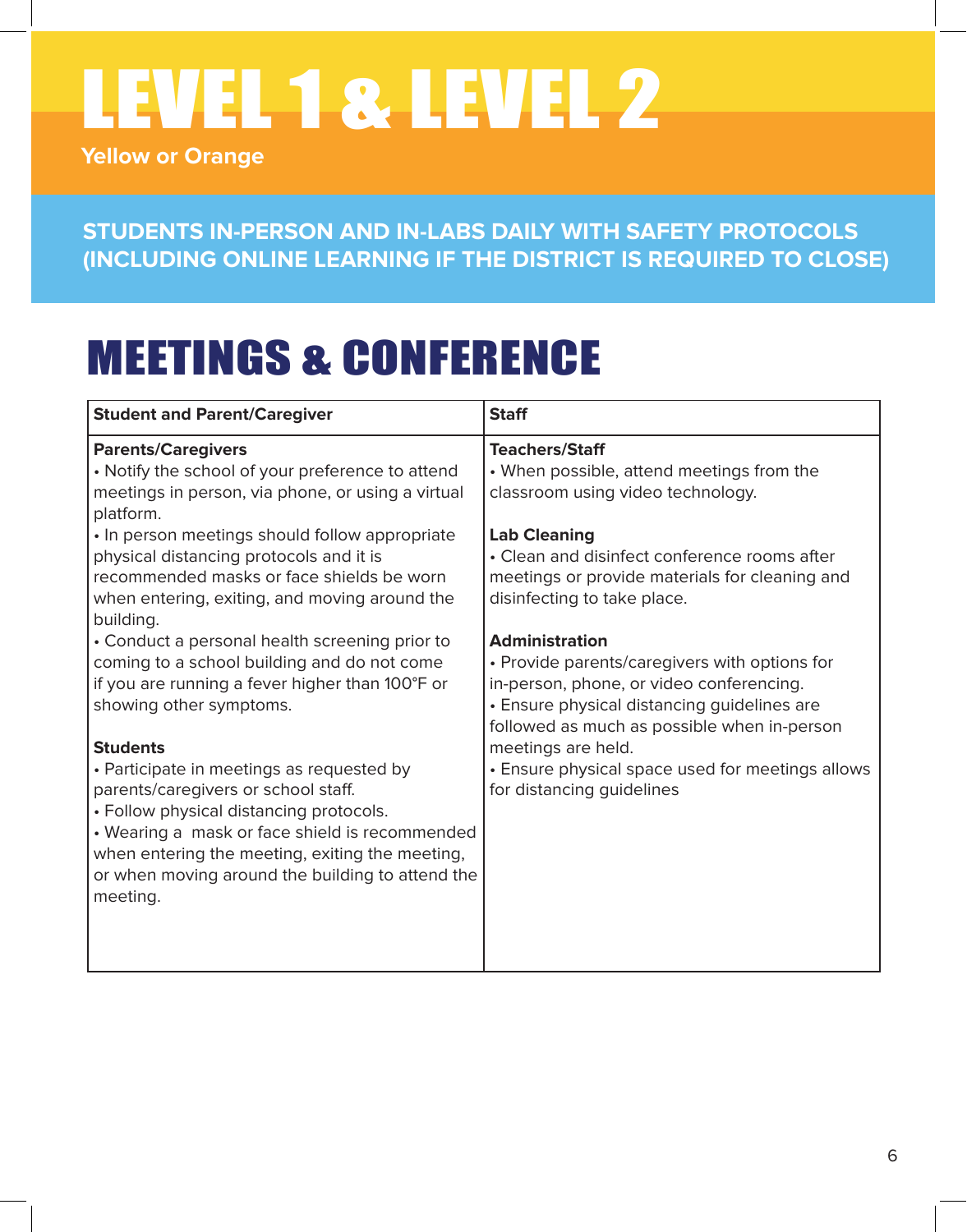**Yellow or Orange**

#### **STUDENTS IN-PERSON AND IN-LABS DAILY WITH SAFETY PROTOCOLS (INCLUDING ONLINE LEARNING IF THE DISTRICT IS REQUIRED TO CLOSE)**

#### MEETINGS & CONFERENCE

| <b>Student and Parent/Caregiver</b>                                                                                                                                                              | <b>Staff</b>                                                                                                                                                                            |
|--------------------------------------------------------------------------------------------------------------------------------------------------------------------------------------------------|-----------------------------------------------------------------------------------------------------------------------------------------------------------------------------------------|
| <b>Parents/Caregivers</b><br>• Notify the school of your preference to attend<br>meetings in person, via phone, or using a virtual                                                               | <b>Teachers/Staff</b><br>• When possible, attend meetings from the<br>classroom using video technology.                                                                                 |
| platform.<br>• In person meetings should follow appropriate<br>physical distancing protocols and it is<br>recommended masks or face shields be worn                                              | <b>Lab Cleaning</b><br>• Clean and disinfect conference rooms after<br>meetings or provide materials for cleaning and                                                                   |
| when entering, exiting, and moving around the<br>building.<br>• Conduct a personal health screening prior to                                                                                     | disinfecting to take place.<br><b>Administration</b>                                                                                                                                    |
| coming to a school building and do not come<br>if you are running a fever higher than 100°F or<br>showing other symptoms.                                                                        | • Provide parents/caregivers with options for<br>in-person, phone, or video conferencing.<br>• Ensure physical distancing guidelines are<br>followed as much as possible when in-person |
| <b>Students</b><br>• Participate in meetings as requested by<br>parents/caregivers or school staff.<br>• Follow physical distancing protocols.<br>• Wearing a mask or face shield is recommended | meetings are held.<br>• Ensure physical space used for meetings allows<br>for distancing guidelines                                                                                     |
| when entering the meeting, exiting the meeting,<br>or when moving around the building to attend the<br>meeting.                                                                                  |                                                                                                                                                                                         |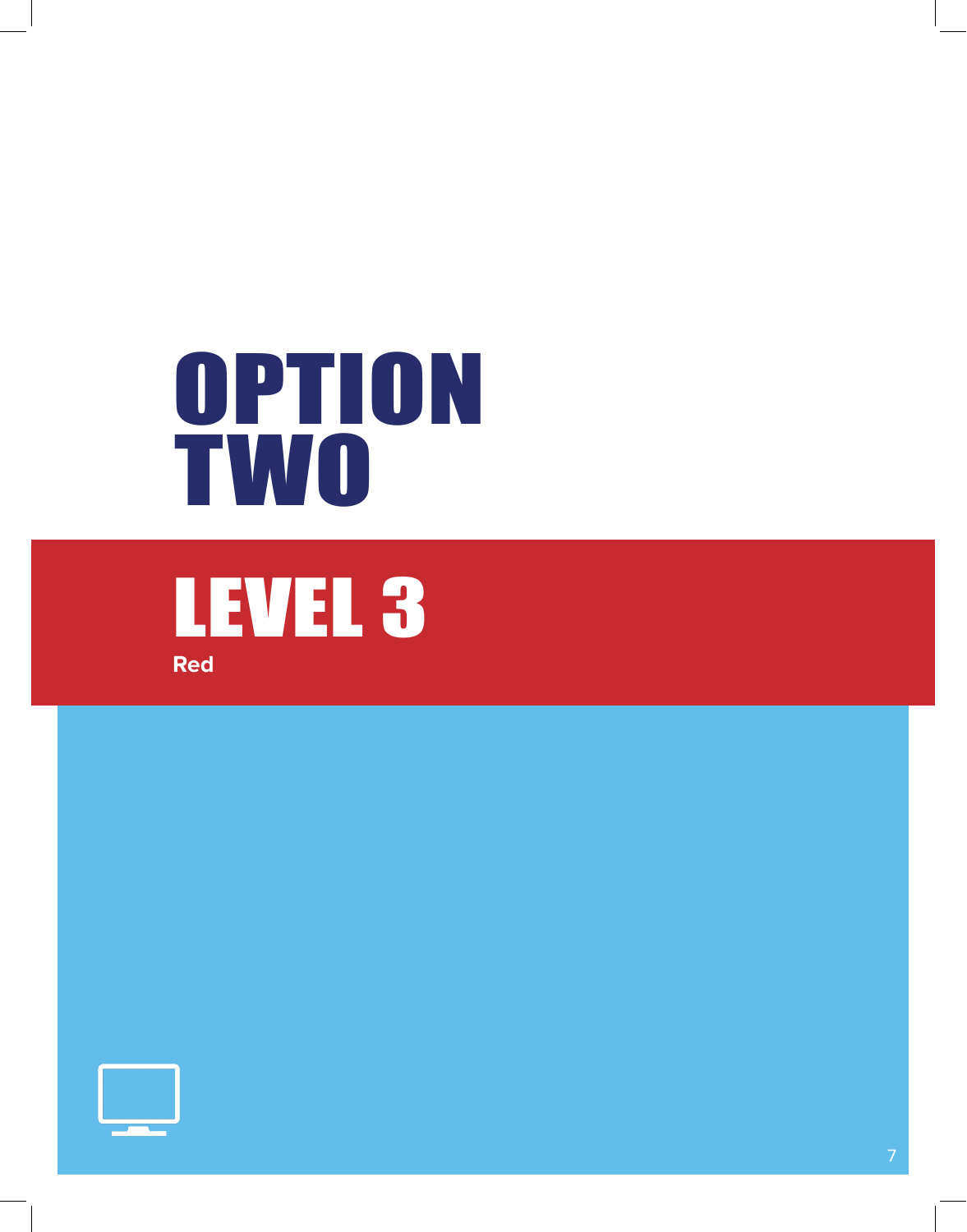# OPTION TWO



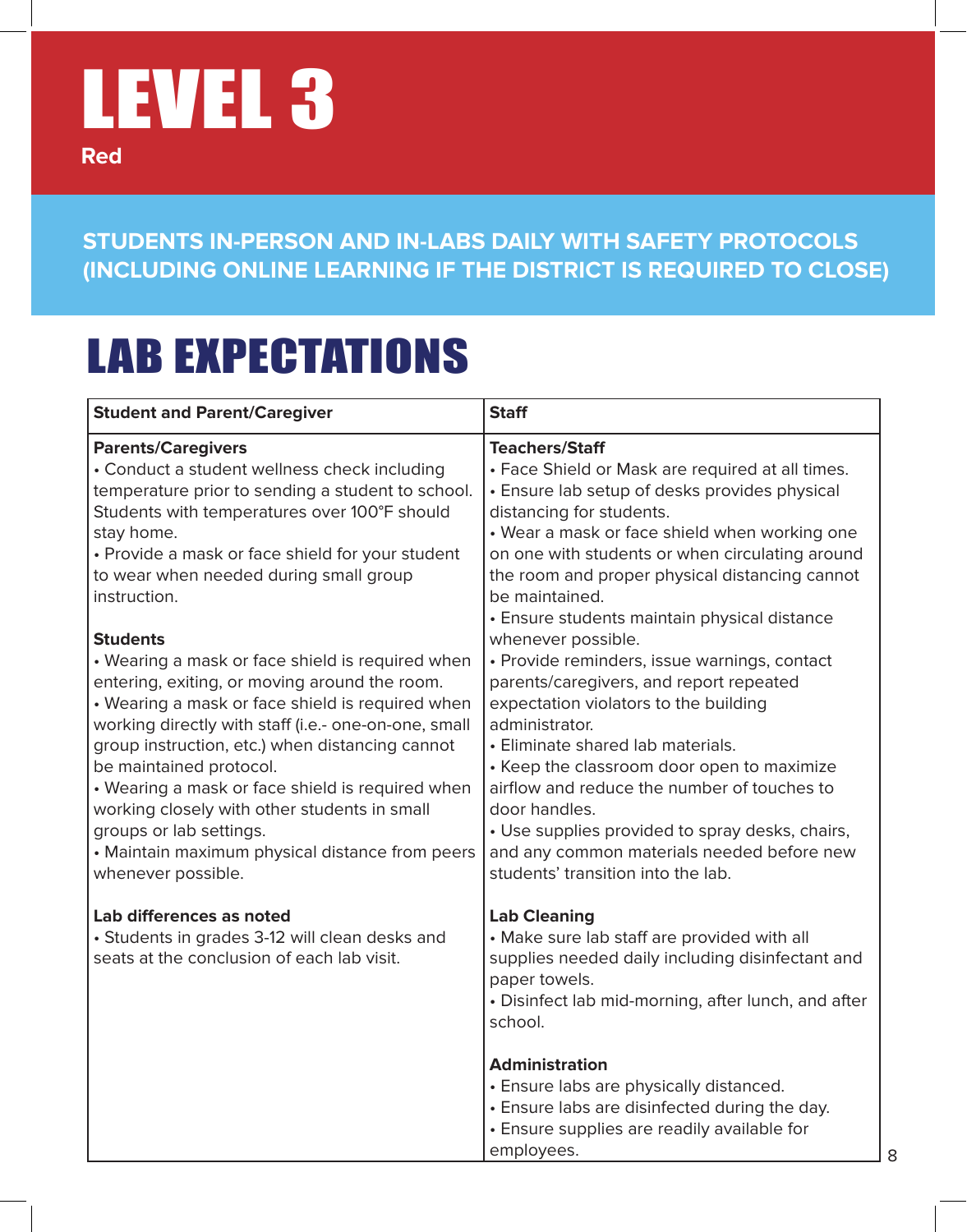**Red**

**STUDENTS IN-PERSON AND IN-LABS DAILY WITH SAFETY PROTOCOLS (INCLUDING ONLINE LEARNING IF THE DISTRICT IS REQUIRED TO CLOSE)**

### LAB EXPECTATIONS

| <b>Student and Parent/Caregiver</b>                                                                                                                                                                                                                                                                                                                                                                                                                                                                 | <b>Staff</b>                                                                                                                                                                                                                                                                                                                                                                                                                                 |
|-----------------------------------------------------------------------------------------------------------------------------------------------------------------------------------------------------------------------------------------------------------------------------------------------------------------------------------------------------------------------------------------------------------------------------------------------------------------------------------------------------|----------------------------------------------------------------------------------------------------------------------------------------------------------------------------------------------------------------------------------------------------------------------------------------------------------------------------------------------------------------------------------------------------------------------------------------------|
| <b>Parents/Caregivers</b><br>• Conduct a student wellness check including<br>temperature prior to sending a student to school.<br>Students with temperatures over 100°F should<br>stay home.<br>• Provide a mask or face shield for your student                                                                                                                                                                                                                                                    | <b>Teachers/Staff</b><br>• Face Shield or Mask are required at all times.<br>• Ensure lab setup of desks provides physical<br>distancing for students.<br>• Wear a mask or face shield when working one<br>on one with students or when circulating around                                                                                                                                                                                   |
| to wear when needed during small group<br>instruction.<br><b>Students</b>                                                                                                                                                                                                                                                                                                                                                                                                                           | the room and proper physical distancing cannot<br>be maintained.<br>• Ensure students maintain physical distance<br>whenever possible.                                                                                                                                                                                                                                                                                                       |
| • Wearing a mask or face shield is required when<br>entering, exiting, or moving around the room.<br>• Wearing a mask or face shield is required when<br>working directly with staff (i.e.- one-on-one, small<br>group instruction, etc.) when distancing cannot<br>be maintained protocol.<br>• Wearing a mask or face shield is required when<br>working closely with other students in small<br>groups or lab settings.<br>• Maintain maximum physical distance from peers<br>whenever possible. | · Provide reminders, issue warnings, contact<br>parents/caregivers, and report repeated<br>expectation violators to the building<br>administrator.<br>• Eliminate shared lab materials.<br>• Keep the classroom door open to maximize<br>airflow and reduce the number of touches to<br>door handles.<br>• Use supplies provided to spray desks, chairs,<br>and any common materials needed before new<br>students' transition into the lab. |
| Lab differences as noted<br>• Students in grades 3-12 will clean desks and<br>seats at the conclusion of each lab visit.                                                                                                                                                                                                                                                                                                                                                                            | <b>Lab Cleaning</b><br>• Make sure lab staff are provided with all<br>supplies needed daily including disinfectant and<br>paper towels.<br>• Disinfect lab mid-morning, after lunch, and after<br>school.<br><b>Administration</b><br>• Ensure labs are physically distanced.<br>• Ensure labs are disinfected during the day.<br>• Ensure supplies are readily available for<br>employees.                                                  |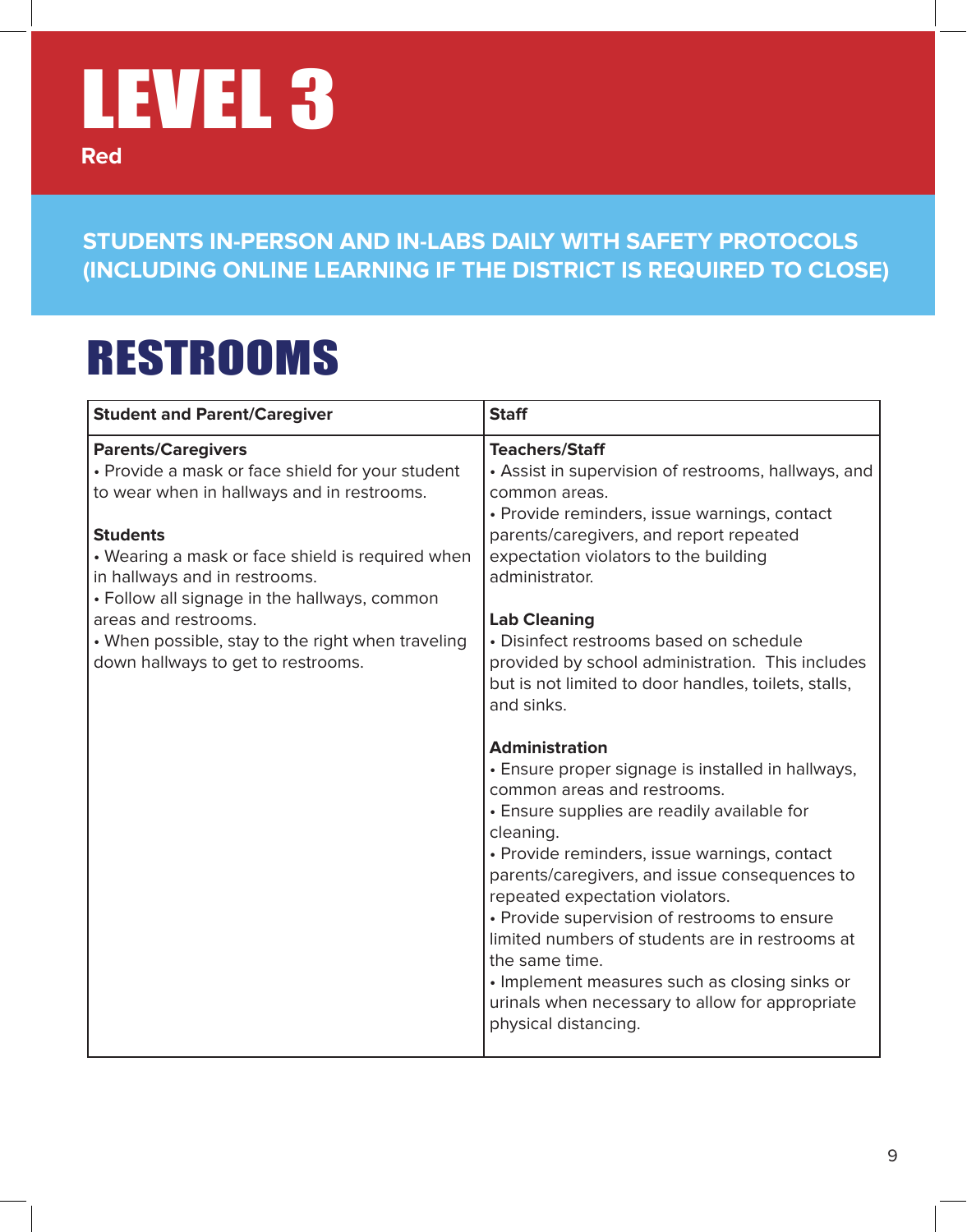**Red**

#### **STUDENTS IN-PERSON AND IN-LABS DAILY WITH SAFETY PROTOCOLS (INCLUDING ONLINE LEARNING IF THE DISTRICT IS REQUIRED TO CLOSE)**

### RESTROOMS

| <b>Student and Parent/Caregiver</b>                                                                                                                                                                                                                                                                                                                                                                    | <b>Staff</b>                                                                                                                                                                                                                                                                                                                                                                                                                                                                                                                                                                                                                                                                                                                                                                                                                                                                                                                                                                          |
|--------------------------------------------------------------------------------------------------------------------------------------------------------------------------------------------------------------------------------------------------------------------------------------------------------------------------------------------------------------------------------------------------------|---------------------------------------------------------------------------------------------------------------------------------------------------------------------------------------------------------------------------------------------------------------------------------------------------------------------------------------------------------------------------------------------------------------------------------------------------------------------------------------------------------------------------------------------------------------------------------------------------------------------------------------------------------------------------------------------------------------------------------------------------------------------------------------------------------------------------------------------------------------------------------------------------------------------------------------------------------------------------------------|
| <b>Parents/Caregivers</b><br>• Provide a mask or face shield for your student<br>to wear when in hallways and in restrooms.<br><b>Students</b><br>• Wearing a mask or face shield is required when<br>in hallways and in restrooms.<br>• Follow all signage in the hallways, common<br>areas and restrooms.<br>• When possible, stay to the right when traveling<br>down hallways to get to restrooms. | <b>Teachers/Staff</b><br>• Assist in supervision of restrooms, hallways, and<br>common areas.<br>• Provide reminders, issue warnings, contact<br>parents/caregivers, and report repeated<br>expectation violators to the building<br>administrator.<br><b>Lab Cleaning</b><br>• Disinfect restrooms based on schedule<br>provided by school administration. This includes<br>but is not limited to door handles, toilets, stalls,<br>and sinks.<br><b>Administration</b><br>• Ensure proper signage is installed in hallways,<br>common areas and restrooms.<br>• Ensure supplies are readily available for<br>cleaning.<br>• Provide reminders, issue warnings, contact<br>parents/caregivers, and issue consequences to<br>repeated expectation violators.<br>• Provide supervision of restrooms to ensure<br>limited numbers of students are in restrooms at<br>the same time.<br>• Implement measures such as closing sinks or<br>urinals when necessary to allow for appropriate |
|                                                                                                                                                                                                                                                                                                                                                                                                        | physical distancing.                                                                                                                                                                                                                                                                                                                                                                                                                                                                                                                                                                                                                                                                                                                                                                                                                                                                                                                                                                  |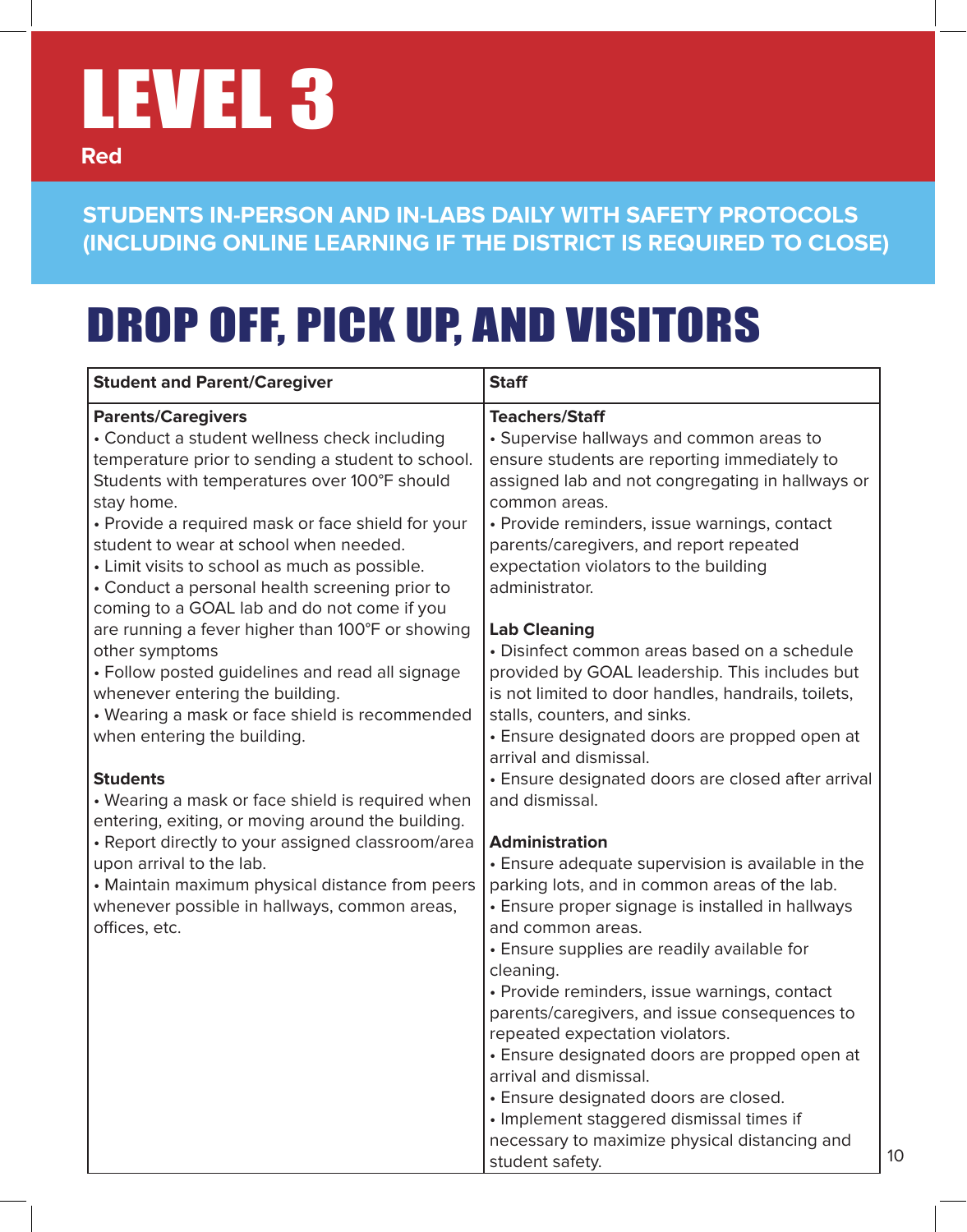**Red**

**STUDENTS IN-PERSON AND IN-LABS DAILY WITH SAFETY PROTOCOLS (INCLUDING ONLINE LEARNING IF THE DISTRICT IS REQUIRED TO CLOSE)**

### DROP OFF, PICK UP, AND VISITORS

| <b>Student and Parent/Caregiver</b>               | <b>Staff</b>                                        |    |
|---------------------------------------------------|-----------------------------------------------------|----|
| <b>Parents/Caregivers</b>                         | <b>Teachers/Staff</b>                               |    |
| • Conduct a student wellness check including      | • Supervise hallways and common areas to            |    |
| temperature prior to sending a student to school. | ensure students are reporting immediately to        |    |
| Students with temperatures over 100°F should      | assigned lab and not congregating in hallways or    |    |
| stay home.                                        | common areas.                                       |    |
| • Provide a required mask or face shield for your | • Provide reminders, issue warnings, contact        |    |
| student to wear at school when needed.            | parents/caregivers, and report repeated             |    |
| • Limit visits to school as much as possible.     | expectation violators to the building               |    |
| • Conduct a personal health screening prior to    | administrator.                                      |    |
| coming to a GOAL lab and do not come if you       |                                                     |    |
| are running a fever higher than 100°F or showing  | <b>Lab Cleaning</b>                                 |    |
| other symptoms                                    | • Disinfect common areas based on a schedule        |    |
| • Follow posted guidelines and read all signage   | provided by GOAL leadership. This includes but      |    |
| whenever entering the building.                   | is not limited to door handles, handrails, toilets, |    |
| • Wearing a mask or face shield is recommended    | stalls, counters, and sinks.                        |    |
| when entering the building.                       | • Ensure designated doors are propped open at       |    |
|                                                   | arrival and dismissal.                              |    |
| <b>Students</b>                                   | • Ensure designated doors are closed after arrival  |    |
| • Wearing a mask or face shield is required when  | and dismissal.                                      |    |
| entering, exiting, or moving around the building. |                                                     |    |
| • Report directly to your assigned classroom/area | <b>Administration</b>                               |    |
| upon arrival to the lab.                          | • Ensure adequate supervision is available in the   |    |
| • Maintain maximum physical distance from peers   | parking lots, and in common areas of the lab.       |    |
| whenever possible in hallways, common areas,      | • Ensure proper signage is installed in hallways    |    |
| offices, etc.                                     | and common areas.                                   |    |
|                                                   | • Ensure supplies are readily available for         |    |
|                                                   | cleaning.                                           |    |
|                                                   | • Provide reminders, issue warnings, contact        |    |
|                                                   | parents/caregivers, and issue consequences to       |    |
|                                                   | repeated expectation violators.                     |    |
|                                                   | • Ensure designated doors are propped open at       |    |
|                                                   | arrival and dismissal.                              |    |
|                                                   | • Ensure designated doors are closed.               |    |
|                                                   | • Implement staggered dismissal times if            |    |
|                                                   | necessary to maximize physical distancing and       |    |
|                                                   | student safety.                                     | 10 |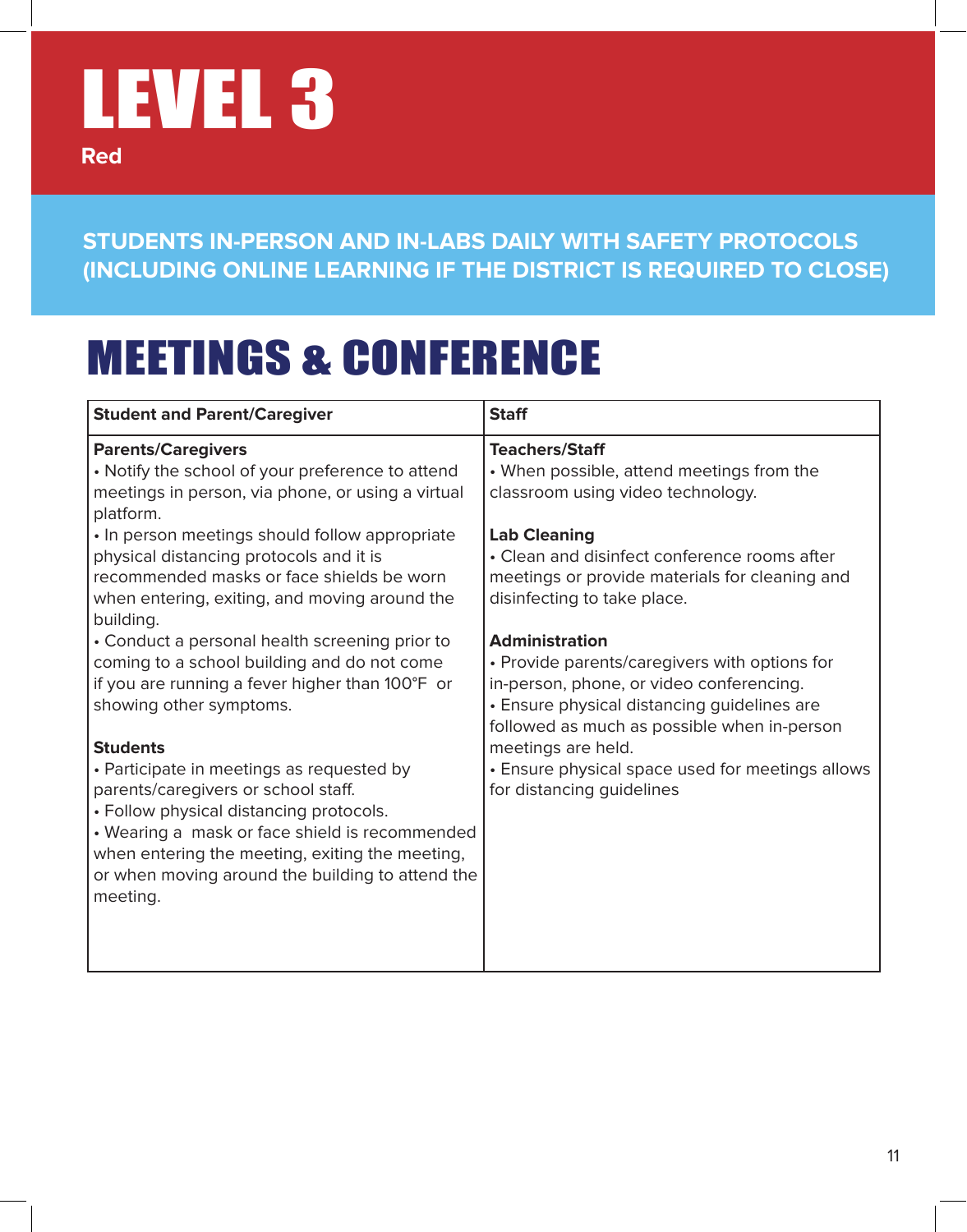**Red**

**STUDENTS IN-PERSON AND IN-LABS DAILY WITH SAFETY PROTOCOLS (INCLUDING ONLINE LEARNING IF THE DISTRICT IS REQUIRED TO CLOSE)**

### MEETINGS & CONFERENCE

| <b>Student and Parent/Caregiver</b>                                                                                                                                                                                                                                                                                                                                                                                                                                                                | <b>Staff</b>                                                                                                                                                                                                                                                                                                            |
|----------------------------------------------------------------------------------------------------------------------------------------------------------------------------------------------------------------------------------------------------------------------------------------------------------------------------------------------------------------------------------------------------------------------------------------------------------------------------------------------------|-------------------------------------------------------------------------------------------------------------------------------------------------------------------------------------------------------------------------------------------------------------------------------------------------------------------------|
| <b>Parents/Caregivers</b><br>• Notify the school of your preference to attend<br>meetings in person, via phone, or using a virtual<br>platform.                                                                                                                                                                                                                                                                                                                                                    | <b>Teachers/Staff</b><br>• When possible, attend meetings from the<br>classroom using video technology.                                                                                                                                                                                                                 |
| • In person meetings should follow appropriate<br>physical distancing protocols and it is<br>recommended masks or face shields be worn<br>when entering, exiting, and moving around the<br>building.                                                                                                                                                                                                                                                                                               | <b>Lab Cleaning</b><br>• Clean and disinfect conference rooms after<br>meetings or provide materials for cleaning and<br>disinfecting to take place.                                                                                                                                                                    |
| • Conduct a personal health screening prior to<br>coming to a school building and do not come<br>if you are running a fever higher than 100°F or<br>showing other symptoms.<br><b>Students</b><br>• Participate in meetings as requested by<br>parents/caregivers or school staff.<br>• Follow physical distancing protocols.<br>• Wearing a mask or face shield is recommended<br>when entering the meeting, exiting the meeting,<br>or when moving around the building to attend the<br>meeting. | <b>Administration</b><br>• Provide parents/caregivers with options for<br>in-person, phone, or video conferencing.<br>• Ensure physical distancing guidelines are<br>followed as much as possible when in-person<br>meetings are held.<br>• Ensure physical space used for meetings allows<br>for distancing guidelines |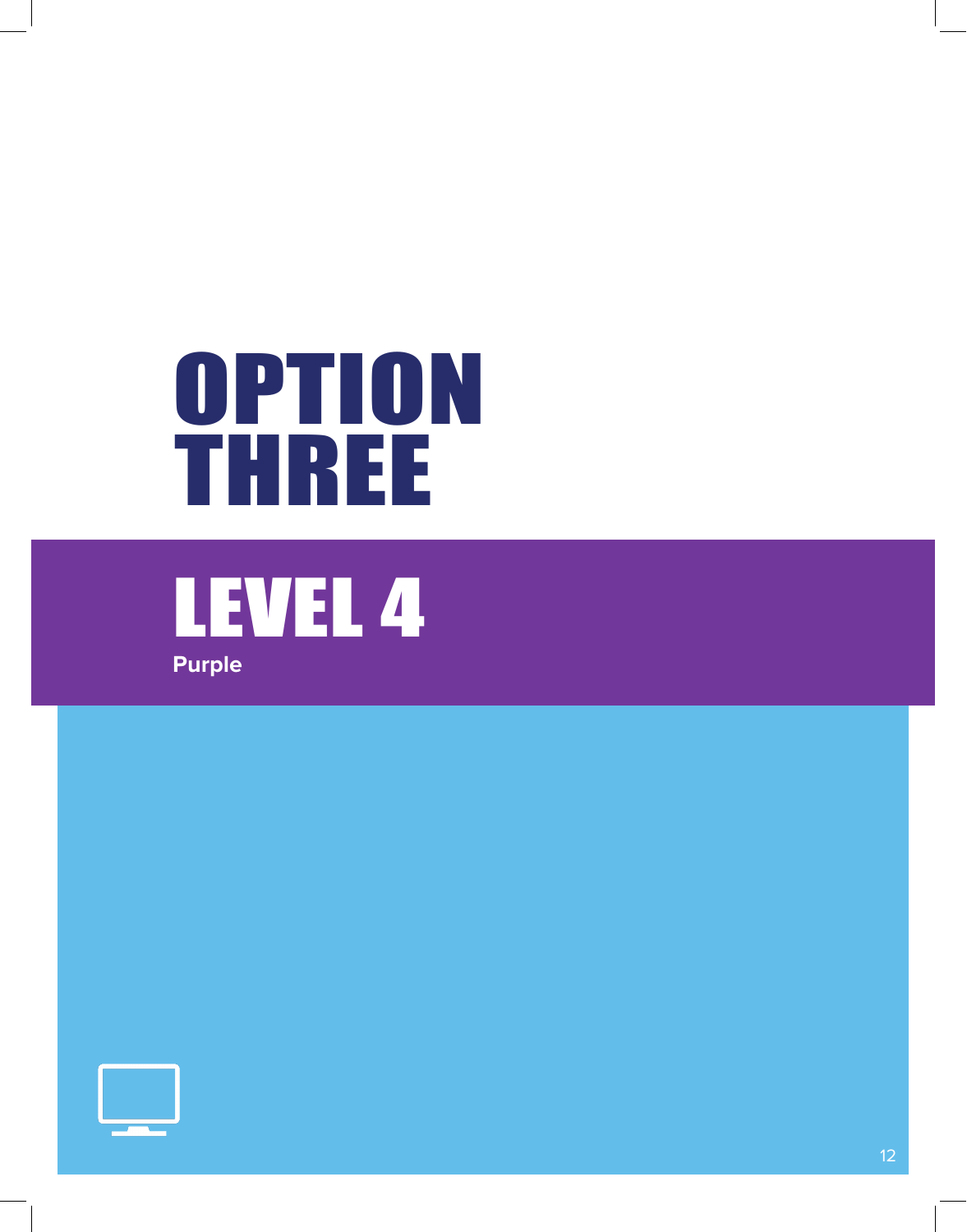# OPTION THREE





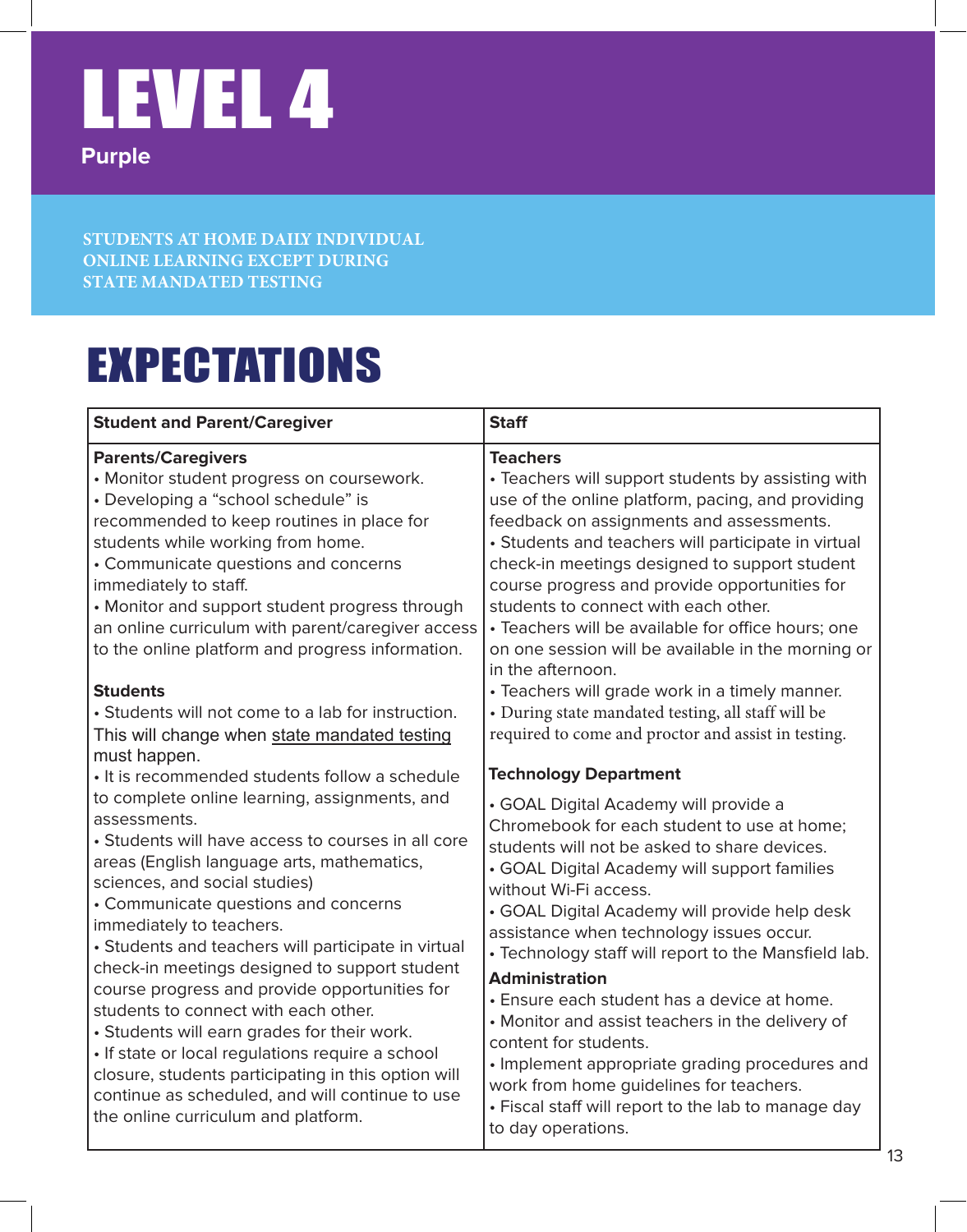#### **Purple**

**STUDENTS AT HOME DAILY INDIVIDUAL ONLINE LEARNING EXCEPT DURING STATE MANDATED TESTING** 

### EXPECTATIONS

| <b>Student and Parent/Caregiver</b>                                                                                                                                                                                                                                                                                                                                                                                                                                                                                                                                                                                                                                                                                                                                           | <b>Staff</b>                                                                                                                                                                                                                                                                                                                                                                                                                                                                                                                                                                                                                                                                                                                      |
|-------------------------------------------------------------------------------------------------------------------------------------------------------------------------------------------------------------------------------------------------------------------------------------------------------------------------------------------------------------------------------------------------------------------------------------------------------------------------------------------------------------------------------------------------------------------------------------------------------------------------------------------------------------------------------------------------------------------------------------------------------------------------------|-----------------------------------------------------------------------------------------------------------------------------------------------------------------------------------------------------------------------------------------------------------------------------------------------------------------------------------------------------------------------------------------------------------------------------------------------------------------------------------------------------------------------------------------------------------------------------------------------------------------------------------------------------------------------------------------------------------------------------------|
| <b>Parents/Caregivers</b><br>• Monitor student progress on coursework.<br>• Developing a "school schedule" is<br>recommended to keep routines in place for<br>students while working from home.<br>• Communicate questions and concerns<br>immediately to staff.<br>• Monitor and support student progress through<br>an online curriculum with parent/caregiver access<br>to the online platform and progress information.                                                                                                                                                                                                                                                                                                                                                   | <b>Teachers</b><br>• Teachers will support students by assisting with<br>use of the online platform, pacing, and providing<br>feedback on assignments and assessments.<br>• Students and teachers will participate in virtual<br>check-in meetings designed to support student<br>course progress and provide opportunities for<br>students to connect with each other.<br>• Teachers will be available for office hours; one<br>on one session will be available in the morning or<br>in the afternoon.                                                                                                                                                                                                                          |
| <b>Students</b><br>• Students will not come to a lab for instruction.<br>This will change when state mandated testing<br>must happen.                                                                                                                                                                                                                                                                                                                                                                                                                                                                                                                                                                                                                                         | • Teachers will grade work in a timely manner.<br>· During state mandated testing, all staff will be<br>required to come and proctor and assist in testing.                                                                                                                                                                                                                                                                                                                                                                                                                                                                                                                                                                       |
| · It is recommended students follow a schedule<br>to complete online learning, assignments, and<br>assessments.<br>• Students will have access to courses in all core<br>areas (English language arts, mathematics,<br>sciences, and social studies)<br>• Communicate questions and concerns<br>immediately to teachers.<br>• Students and teachers will participate in virtual<br>check-in meetings designed to support student<br>course progress and provide opportunities for<br>students to connect with each other.<br>• Students will earn grades for their work.<br>· If state or local regulations require a school<br>closure, students participating in this option will<br>continue as scheduled, and will continue to use<br>the online curriculum and platform. | <b>Technology Department</b><br>• GOAL Digital Academy will provide a<br>Chromebook for each student to use at home;<br>students will not be asked to share devices.<br>• GOAL Digital Academy will support families<br>without Wi-Fi access.<br>• GOAL Digital Academy will provide help desk<br>assistance when technology issues occur.<br>• Technology staff will report to the Mansfield lab.<br><b>Administration</b><br>• Ensure each student has a device at home.<br>• Monitor and assist teachers in the delivery of<br>content for students.<br>· Implement appropriate grading procedures and<br>work from home guidelines for teachers.<br>• Fiscal staff will report to the lab to manage day<br>to day operations. |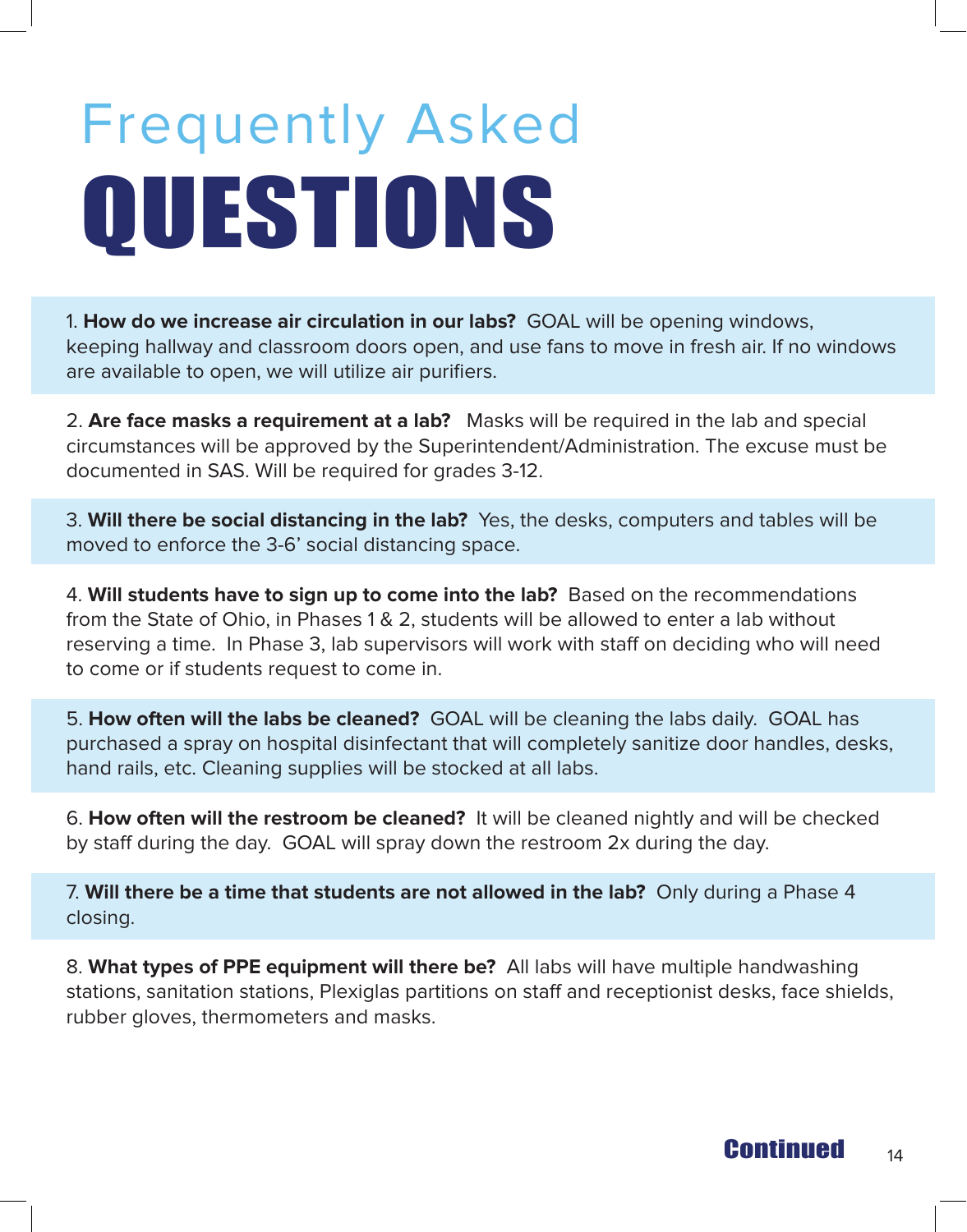## QUESTIONS Frequently Asked

1. **How do we increase air circulation in our labs?** GOAL will be opening windows, keeping hallway and classroom doors open, and use fans to move in fresh air. If no windows are available to open, we will utilize air purifiers.

2. **Are face masks a requirement at a lab?** Masks will be required in the lab and special circumstances will be approved by the Superintendent/Administration. The excuse must be documented in SAS. Will be required for grades 3-12.

3. **Will there be social distancing in the lab?** Yes, the desks, computers and tables will be moved to enforce the 3-6' social distancing space.

4. **Will students have to sign up to come into the lab?** Based on the recommendations from the State of Ohio, in Phases 1 & 2, students will be allowed to enter a lab without reserving a time. In Phase 3, lab supervisors will work with staff on deciding who will need to come or if students request to come in.

5. **How often will the labs be cleaned?** GOAL will be cleaning the labs daily. GOAL has purchased a spray on hospital disinfectant that will completely sanitize door handles, desks, hand rails, etc. Cleaning supplies will be stocked at all labs.

6. **How often will the restroom be cleaned?** It will be cleaned nightly and will be checked by staff during the day. GOAL will spray down the restroom 2x during the day.

7. **Will there be a time that students are not allowed in the lab?** Only during a Phase 4 closing.

8. **What types of PPE equipment will there be?** All labs will have multiple handwashing stations, sanitation stations, Plexiglas partitions on staff and receptionist desks, face shields, rubber gloves, thermometers and masks.